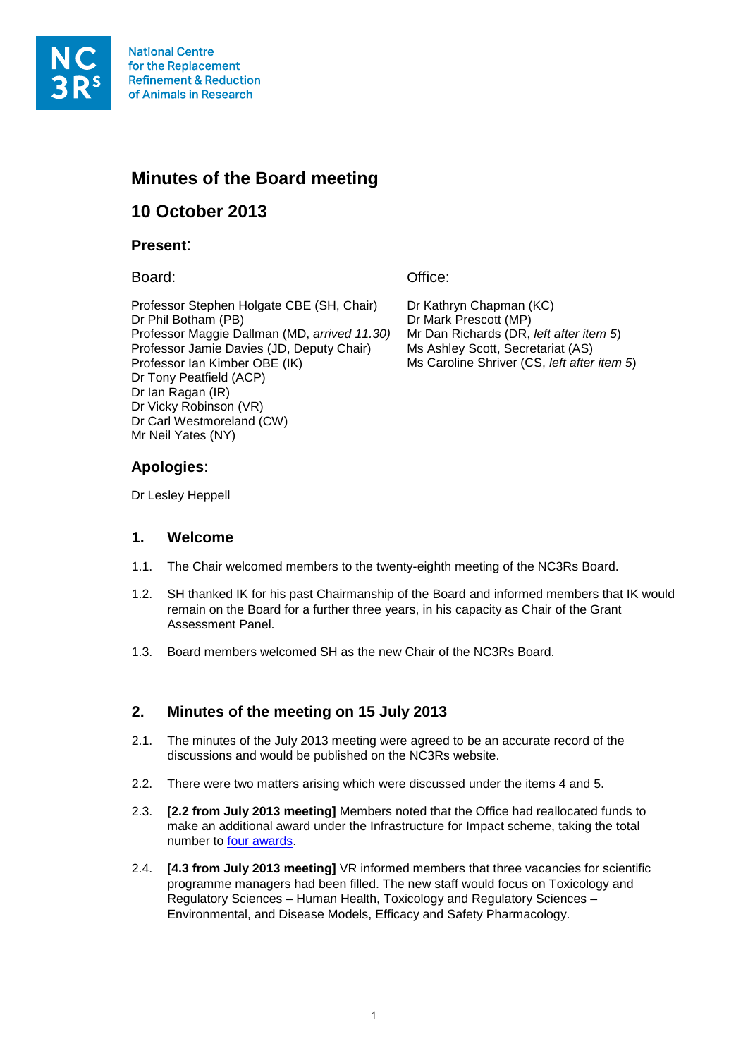

**National Centre** for the Replacement **Refinement & Reduction** of Animals in Research

# **Minutes of the Board meeting**

# **10 October 2013**

#### **Present**:

Board:

Professor Stephen Holgate CBE (SH, Chair) Dr Phil Botham (PB) Professor Maggie Dallman (MD, *arrived 11.30)* Professor Jamie Davies (JD, Deputy Chair) Professor Ian Kimber OBE (IK) Dr Tony Peatfield (ACP) Dr Ian Ragan (IR) Dr Vicky Robinson (VR) Dr Carl Westmoreland (CW) Mr Neil Yates (NY)

Office:

Dr Kathryn Chapman (KC) Dr Mark Prescott (MP) Mr Dan Richards (DR, *left after item 5*) Ms Ashley Scott, Secretariat (AS) Ms Caroline Shriver (CS, *left after item 5*)

# **Apologies**:

Dr Lesley Heppell

#### **1. Welcome**

- 1.1. The Chair welcomed members to the twenty-eighth meeting of the NC3Rs Board.
- 1.2. SH thanked IK for his past Chairmanship of the Board and informed members that IK would remain on the Board for a further three years, in his capacity as Chair of the Grant Assessment Panel.
- 1.3. Board members welcomed SH as the new Chair of the NC3Rs Board.

# **2. Minutes of the meeting on 15 July 2013**

- 2.1. The minutes of the July 2013 meeting were agreed to be an accurate record of the discussions and would be published on the NC3Rs website.
- 2.2. There were two matters arising which were discussed under the items 4 and 5.
- 2.3. **[2.2 from July 2013 meeting]** Members noted that the Office had reallocated funds to make an additional award under the Infrastructure for Impact scheme, taking the total number to [four awards.](http://www.nc3rs.org.uk/researchportfolio/getcatlist.asp?id=1483&cid=2&catitem=Infrastructure%20for%20Impact%20Award&catname=Grant%20Category)
- 2.4. **[4.3 from July 2013 meeting]** VR informed members that three vacancies for scientific programme managers had been filled. The new staff would focus on Toxicology and Regulatory Sciences – Human Health, Toxicology and Regulatory Sciences – Environmental, and Disease Models, Efficacy and Safety Pharmacology.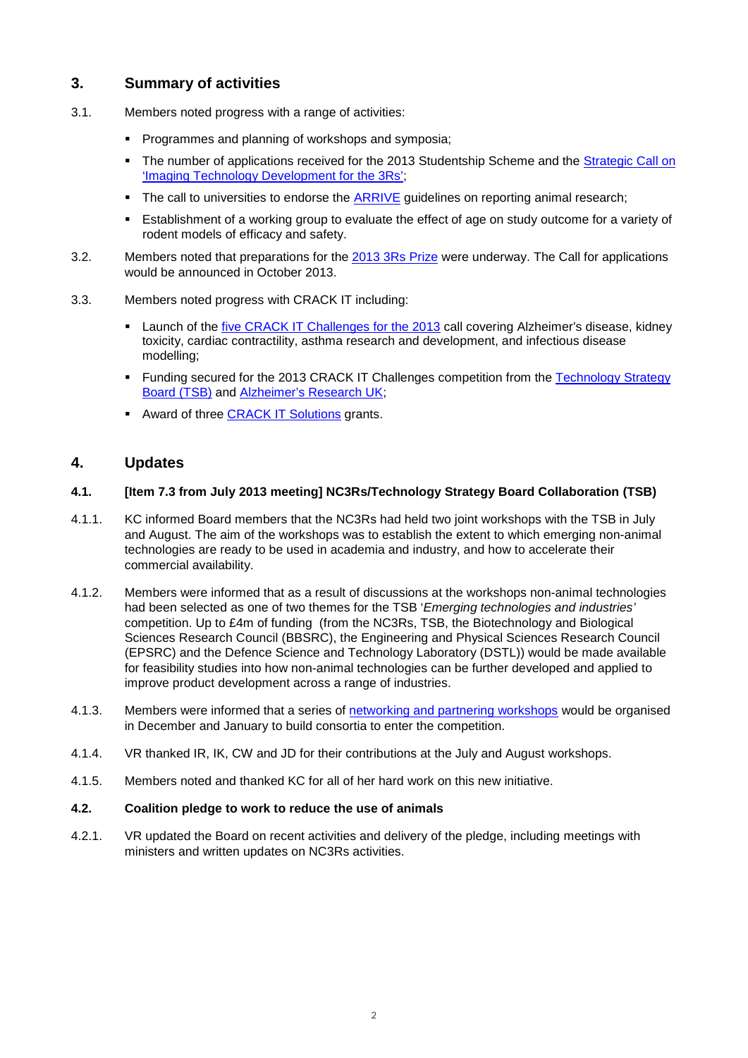# **3. Summary of activities**

- 3.1. Members noted progress with a range of activities:
	- **Programmes and planning of workshops and symposia;**
	- The number of applications received for the 2013 Studentship Scheme and the Strategic Call on ['Imaging Technology Development for the 3Rs';](http://www.nc3rs.org.uk/page.asp?id=1972)
	- The call to universities to endorse the [ARRIVE](http://www.nc3rs.org.uk/page.asp?id=1357) guidelines on reporting animal research;
	- Establishment of a working group to evaluate the effect of age on study outcome for a variety of rodent models of efficacy and safety.
- 3.2. Members noted that preparations for the [2013 3Rs Prize](http://www.nc3rs.org.uk/page.asp?id=1897) were underway. The Call for applications would be announced in October 2013.
- 3.3. Members noted progress with CRACK IT including:
	- Launch of the [five CRACK IT Challenges for the 2013](http://www.crackit.org.uk/crack/2013/2013_challenges) call covering Alzheimer's disease, kidney toxicity, cardiac contractility, asthma research and development, and infectious disease modelling;
	- Funding secured for the 2013 CRACK IT Challenges competition from the Technology Strategy [Board \(TSB\)](https://www.innovateuk.org/) and [Alzheimer's Research UK;](http://www.alzheimersresearchuk.org/)
	- Award of three **CRACK IT Solutions** grants.

### **4. Updates**

#### **4.1. [Item 7.3 from July 2013 meeting] NC3Rs/Technology Strategy Board Collaboration (TSB)**

- 4.1.1. KC informed Board members that the NC3Rs had held two joint workshops with the TSB in July and August. The aim of the workshops was to establish the extent to which emerging non-animal technologies are ready to be used in academia and industry, and how to accelerate their commercial availability.
- 4.1.2. Members were informed that as a result of discussions at the workshops non-animal technologies had been selected as one of two themes for the TSB '*Emerging technologies and industries'*  competition. Up to £4m of funding (from the NC3Rs, TSB, the Biotechnology and Biological Sciences Research Council (BBSRC), the Engineering and Physical Sciences Research Council (EPSRC) and the Defence Science and Technology Laboratory (DSTL)) would be made available for feasibility studies into how non-animal technologies can be further developed and applied to improve product development across a range of industries.
- 4.1.3. Members were informed that a series of [networking and partnering workshops](http://www.nc3rs.org.uk/page.asp?id=2009) would be organised in December and January to build consortia to enter the competition.
- 4.1.4. VR thanked IR, IK, CW and JD for their contributions at the July and August workshops.
- 4.1.5. Members noted and thanked KC for all of her hard work on this new initiative.

#### **4.2. Coalition pledge to work to reduce the use of animals**

4.2.1. VR updated the Board on recent activities and delivery of the pledge, including meetings with ministers and written updates on NC3Rs activities.